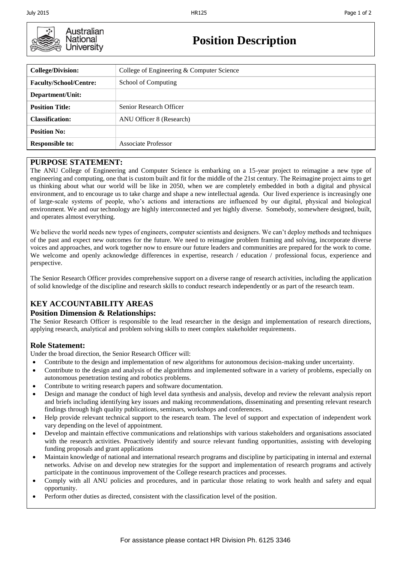

**Position Description**

| <b>College/Division:</b>      | College of Engineering & Computer Science |  |  |
|-------------------------------|-------------------------------------------|--|--|
| <b>Faculty/School/Centre:</b> | School of Computing                       |  |  |
| Department/Unit:              |                                           |  |  |
| <b>Position Title:</b>        | Senior Research Officer                   |  |  |
| <b>Classification:</b>        | ANU Officer 8 (Research)                  |  |  |
| <b>Position No:</b>           |                                           |  |  |
| <b>Responsible to:</b>        | Associate Professor                       |  |  |

### **PURPOSE STATEMENT:**

The ANU College of Engineering and Computer Science is embarking on a 15-year project to reimagine a new type of engineering and computing, one that is custom built and fit for the middle of the 21st century. The Reimagine project aims to get us thinking about what our world will be like in 2050, when we are completely embedded in both a digital and physical environment, and to encourage us to take charge and shape a new intellectual agenda. Our lived experience is increasingly one of large-scale systems of people, who's actions and interactions are influenced by our digital, physical and biological environment. We and our technology are highly interconnected and yet highly diverse. Somebody, somewhere designed, built, and operates almost everything.

We believe the world needs new types of engineers, computer scientists and designers. We can't deploy methods and techniques of the past and expect new outcomes for the future. We need to reimagine problem framing and solving, incorporate diverse voices and approaches, and work together now to ensure our future leaders and communities are prepared for the work to come. We welcome and openly acknowledge differences in expertise, research / education / professional focus, experience and perspective.

The Senior Research Officer provides comprehensive support on a diverse range of research activities, including the application of solid knowledge of the discipline and research skills to conduct research independently or as part of the research team.

# **KEY ACCOUNTABILITY AREAS**

### **Position Dimension & Relationships:**

The Senior Research Officer is responsible to the lead researcher in the design and implementation of research directions, applying research, analytical and problem solving skills to meet complex stakeholder requirements.

# **Role Statement:**

Under the broad direction, the Senior Research Officer will:

- Contribute to the design and implementation of new algorithms for autonomous decision-making under uncertainty.
- Contribute to the design and analysis of the algorithms and implemented software in a variety of problems, especially on autonomous penetration testing and robotics problems.
- Contribute to writing research papers and software documentation.
- Design and manage the conduct of high level data synthesis and analysis, develop and review the relevant analysis report and briefs including identifying key issues and making recommendations, disseminating and presenting relevant research findings through high quality publications, seminars, workshops and conferences.
- Help provide relevant technical support to the research team. The level of support and expectation of independent work vary depending on the level of appointment.
- Develop and maintain effective communications and relationships with various stakeholders and organisations associated with the research activities. Proactively identify and source relevant funding opportunities, assisting with developing funding proposals and grant applications
- Maintain knowledge of national and international research programs and discipline by participating in internal and external networks. Advise on and develop new strategies for the support and implementation of research programs and actively participate in the continuous improvement of the College research practices and processes.
- Comply with all ANU policies and procedures, and in particular those relating to work health and safety and equal opportunity.
- Perform other duties as directed, consistent with the classification level of the position.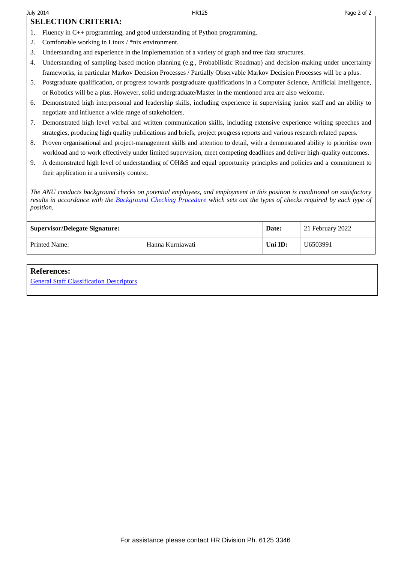# **SELECTION CRITERIA:**

- 1. Fluency in C++ programming, and good understanding of Python programming.
- 2. Comfortable working in Linux / \*nix environment.
- 3. Understanding and experience in the implementation of a variety of graph and tree data structures.
- 4. Understanding of sampling-based motion planning (e.g., Probabilistic Roadmap) and decision-making under uncertainty frameworks, in particular Markov Decision Processes / Partially Observable Markov Decision Processes will be a plus.
- 5. Postgraduate qualification, or progress towards postgraduate qualifications in a Computer Science, Artificial Intelligence, or Robotics will be a plus. However, solid undergraduate/Master in the mentioned area are also welcome.
- 6. Demonstrated high interpersonal and leadership skills, including experience in supervising junior staff and an ability to negotiate and influence a wide range of stakeholders.
- 7. Demonstrated high level verbal and written communication skills, including extensive experience writing speeches and strategies, producing high quality publications and briefs, project progress reports and various research related papers.
- 8. Proven organisational and project-management skills and attention to detail, with a demonstrated ability to prioritise own workload and to work effectively under limited supervision, meet competing deadlines and deliver high-quality outcomes.
- 9. A demonstrated high level of understanding of OH&S and equal opportunity principles and policies and a commitment to their application in a university context.

*The ANU conducts background checks on potential employees, and employment in this position is conditional on satisfactory results in accordance with the [Background Checking Procedure](https://policies.anu.edu.au/ppl/document/ANUP_6311242) which sets out the types of checks required by each type of position.*

| <b>Supervisor/Delegate Signature:</b> |                  | Date:   | 21 February 2022 |
|---------------------------------------|------------------|---------|------------------|
| Printed Name:                         | Hanna Kurniawati | Uni ID: | U6503991         |

#### **References:**

[General Staff Classification Descriptors](http://hr.anu.edu.au/employment-at-anu/enterprise-agreement/2013-2016/schedule-5-professional-staff-classification-descriptiors)